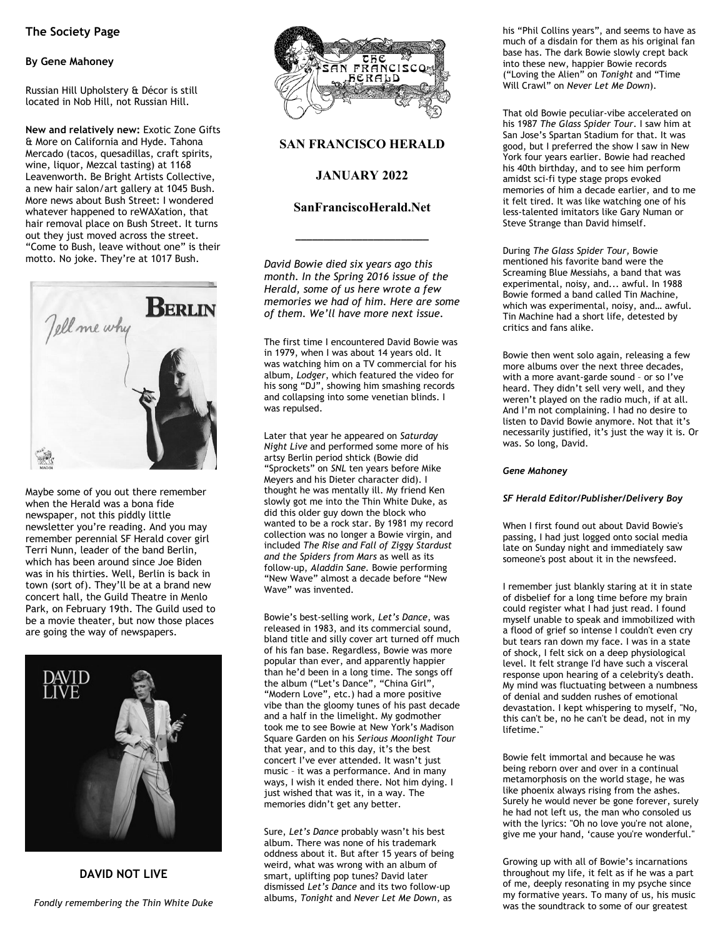# **The Society Page**

#### **By Gene Mahoney**

Russian Hill Upholstery & Décor is still located in Nob Hill, not Russian Hill.

**New and relatively new:** Exotic Zone Gifts & More on California and Hyde. Tahona Mercado (tacos, quesadillas, craft spirits, wine, liquor, Mezcal tasting) at 1168 Leavenworth. Be Bright Artists Collective, a new hair salon/art gallery at 1045 Bush. More news about Bush Street: I wondered whatever happened to reWAXation, that hair removal place on Bush Street. It turns out they just moved across the street. "Come to Bush, leave without one" is their motto. No joke. They're at 1017 Bush.



Maybe some of you out there remember when the Herald was a bona fide newspaper, not this piddly little newsletter you're reading. And you may remember perennial SF Herald cover girl which has been around since Joe Biden was in his thirties. Well, Berlin is back in town (sort of). They'll be at a brand new concert hall, the Guild Theatre in Menlo Park, on February 19th. The Guild used to be a movie theater, but now those places are going the way of newspapers.



**DAVID NOT LIVE** 





# **SAN FRANCISCO HERALD**

# **JANUARY 2022**

### **SanFranciscoHerald.Net**

**\_\_\_\_\_\_\_\_\_\_\_\_\_\_\_\_\_\_\_\_\_\_\_\_** 

*David Bowie died six years ago this month. In the Spring 2016 issue of the Herald, some of us here wrote a few memories we had of him. Here are some of them. We'll have more next issue.* 

The first time I encountered David Bowie was in 1979, when I was about 14 years old. It was watching him on a TV commercial for his album, *Lodger*, which featured the video for his song "DJ", showing him smashing records and collapsing into some venetian blinds. I was repulsed.

Later that year he appeared on *Saturday Night Live* and performed some more of his artsy Berlin period shtick (Bowie did "Sprockets" on *SNL* ten years before Mike Meyers and his Dieter character did). I thought he was mentally ill. My friend Ken slowly got me into the Thin White Duke, as did this older guy down the block who wanted to be a rock star. By 1981 my record collection was no longer a Bowie virgin, and included *The Rise and Fall of Ziggy Stardust and the Spiders from Mars* as well as its follow-up, *Aladdin Sane.* Bowie performing "New Wave" almost a decade before "New Wave" was invented.

Bowie's best-selling work, *Let's Dance*, was released in 1983, and its commercial sound, bland title and silly cover art turned off much of his fan base. Regardless, Bowie was more popular than ever, and apparently happier than he'd been in a long time. The songs off the album ("Let's Dance", "China Girl", "Modern Love", etc.) had a more positive vibe than the gloomy tunes of his past decade and a half in the limelight. My godmother took me to see Bowie at New York's Madison Square Garden on his *Serious Moonlight Tour* that year, and to this day, it's the best concert I've ever attended. It wasn't just music – it was a performance. And in many ways, I wish it ended there. Not him dying. I just wished that was it, in a way. The memories didn't get any better.

Sure, *Let's Dance* probably wasn't his best album. There was none of his trademark oddness about it. But after 15 years of being weird, what was wrong with an album of smart, uplifting pop tunes? David later dismissed *Let's Dance* and its two follow-up albums, *Tonight* and *Never Let Me Down*, as

his "Phil Collins years", and seems to have as much of a disdain for them as his original fan base has. The dark Bowie slowly crept back into these new, happier Bowie records ("Loving the Alien" on *Tonight* and "Time Will Crawl" on *Never Let Me Down*).

That old Bowie peculiar-vibe accelerated on his 1987 *The Glass Spider Tour*. I saw him at San Jose's Spartan Stadium for that. It was good, but I preferred the show I saw in New York four years earlier. Bowie had reached his 40th birthday, and to see him perform amidst sci-fi type stage props evoked memories of him a decade earlier, and to me it felt tired. It was like watching one of his less-talented imitators like Gary Numan or Steve Strange than David himself.

During *The Glass Spider Tour,* Bowie mentioned his favorite band were the Screaming Blue Messiahs, a band that was experimental, noisy, and... awful. In 1988 Bowie formed a band called Tin Machine, which was experimental, noisy, and… awful. Tin Machine had a short life, detested by critics and fans alike.

Bowie then went solo again, releasing a few more albums over the next three decades, with a more avant-garde sound – or so I've heard. They didn't sell very well, and they weren't played on the radio much, if at all. And I'm not complaining. I had no desire to listen to David Bowie anymore. Not that it's necessarily justified, it's just the way it is. Or was. So long, David.

### *Gene Mahoney*

### *SF Herald Editor/Publisher/Delivery Boy*

When I first found out about David Bowie's passing, I had just logged onto social media late on Sunday night and immediately saw someone's post about it in the newsfeed.

I remember just blankly staring at it in state of disbelief for a long time before my brain could register what I had just read. I found myself unable to speak and immobilized with a flood of grief so intense I couldn't even cry but tears ran down my face. I was in a state of shock, I felt sick on a deep physiological level. It felt strange I'd have such a visceral response upon hearing of a celebrity's death. My mind was fluctuating between a numbness of denial and sudden rushes of emotional devastation. I kept whispering to myself, "No, this can't be, no he can't be dead, not in my lifetime."

Bowie felt immortal and because he was being reborn over and over in a continual metamorphosis on the world stage, he was like phoenix always rising from the ashes. Surely he would never be gone forever, surely he had not left us, the man who consoled us with the lyrics: "Oh no love you're not alone, give me your hand, 'cause you're wonderful."

Growing up with all of Bowie's incarnations throughout my life, it felt as if he was a part of me, deeply resonating in my psyche since my formative years. To many of us, his music was the soundtrack to some of our greatest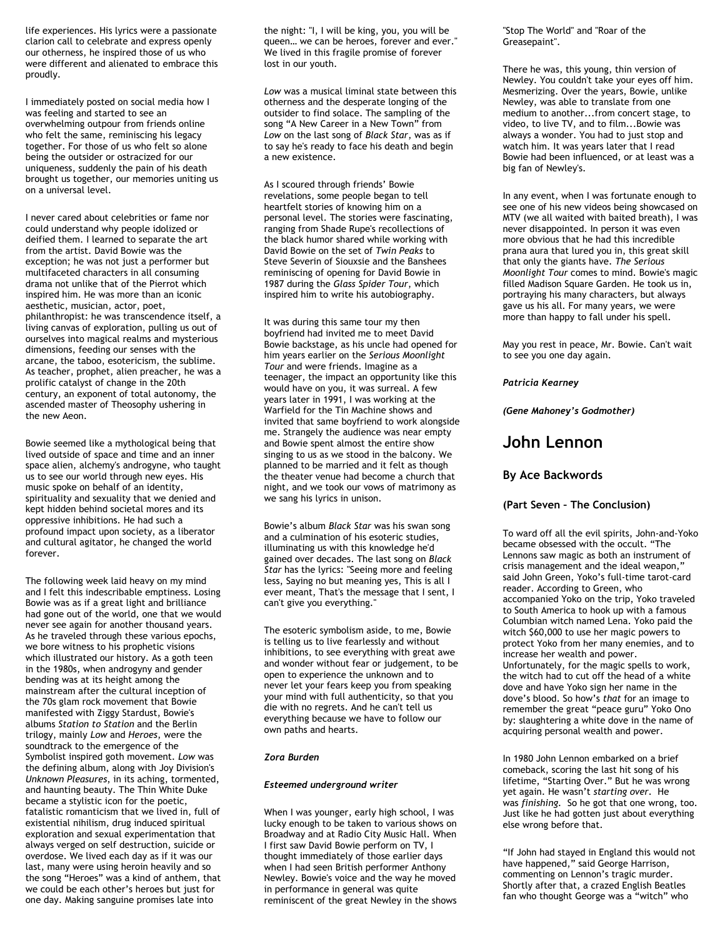life experiences. His lyrics were a passionate clarion call to celebrate and express openly our otherness, he inspired those of us who were different and alienated to embrace this proudly.

I immediately posted on social media how I was feeling and started to see an overwhelming outpour from friends online who felt the same, reminiscing his legacy together. For those of us who felt so alone being the outsider or ostracized for our uniqueness, suddenly the pain of his death brought us together, our memories uniting us on a universal level.

I never cared about celebrities or fame nor could understand why people idolized or deified them. I learned to separate the art from the artist. David Bowie was the exception; he was not just a performer but multifaceted characters in all consuming drama not unlike that of the Pierrot which inspired him. He was more than an iconic aesthetic, musician, actor, poet, philanthropist: he was transcendence itself, a living canvas of exploration, pulling us out of ourselves into magical realms and mysterious dimensions, feeding our senses with the arcane, the taboo, esotericism, the sublime. As teacher, prophet, alien preacher, he was a prolific catalyst of change in the 20th century, an exponent of total autonomy, the ascended master of Theosophy ushering in the new Aeon.

Bowie seemed like a mythological being that lived outside of space and time and an inner space alien, alchemy's androgyne, who taught us to see our world through new eyes. His music spoke on behalf of an identity, spirituality and sexuality that we denied and kept hidden behind societal mores and its oppressive inhibitions. He had such a profound impact upon society, as a liberator and cultural agitator, he changed the world forever.

The following week laid heavy on my mind and I felt this indescribable emptiness. Losing Bowie was as if a great light and brilliance had gone out of the world, one that we would never see again for another thousand years. As he traveled through these various epochs, we bore witness to his prophetic visions which illustrated our history. As a goth teen in the 1980s, when androgyny and gender bending was at its height among the mainstream after the cultural inception of the 70s glam rock movement that Bowie manifested with Ziggy Stardust, Bowie's albums *Station to Station* and the Berlin trilogy, mainly *Low* and *Heroes*, were the soundtrack to the emergence of the Symbolist inspired goth movement. *Low* was the defining album, along with Joy Division's *Unknown Pleasures*, in its aching, tormented, and haunting beauty. The Thin White Duke became a stylistic icon for the poetic, fatalistic romanticism that we lived in, full of existential nihilism, drug induced spiritual exploration and sexual experimentation that always verged on self destruction, suicide or overdose. We lived each day as if it was our last, many were using heroin heavily and so the song "Heroes" was a kind of anthem, that we could be each other's heroes but just for one day. Making sanguine promises late into

the night: "I, I will be king, you, you will be queen… we can be heroes, forever and ever." We lived in this fragile promise of forever lost in our youth.

*Low* was a musical liminal state between this otherness and the desperate longing of the outsider to find solace. The sampling of the song "A New Career in a New Town" from *Low* on the last song of *Black Star*, was as if to say he's ready to face his death and begin a new existence.

As I scoured through friends' Bowie revelations, some people began to tell heartfelt stories of knowing him on a personal level. The stories were fascinating, ranging from Shade Rupe's recollections of the black humor shared while working with David Bowie on the set of *Twin Peaks* to Steve Severin of Siouxsie and the Banshees reminiscing of opening for David Bowie in 1987 during the *Glass Spider Tour*, which inspired him to write his autobiography.

It was during this same tour my then boyfriend had invited me to meet David Bowie backstage, as his uncle had opened for him years earlier on the *Serious Moonlight Tour* and were friends. Imagine as a teenager, the impact an opportunity like this would have on you, it was surreal. A few years later in 1991, I was working at the Warfield for the Tin Machine shows and invited that same boyfriend to work alongside me. Strangely the audience was near empty and Bowie spent almost the entire show singing to us as we stood in the balcony. We planned to be married and it felt as though the theater venue had become a church that night, and we took our vows of matrimony as we sang his lyrics in unison.

Bowie's album *Black Star* was his swan song and a culmination of his esoteric studies, illuminating us with this knowledge he'd gained over decades. The last song on *Black Star* has the lyrics: "Seeing more and feeling less, Saying no but meaning yes, This is all I ever meant, That's the message that I sent, I can't give you everything."

The esoteric symbolism aside, to me, Bowie is telling us to live fearlessly and without inhibitions, to see everything with great awe and wonder without fear or judgement, to be open to experience the unknown and to never let your fears keep you from speaking your mind with full authenticity, so that you die with no regrets. And he can't tell us everything because we have to follow our own paths and hearts.

#### *Zora Burden*

#### *Esteemed underground writer*

When I was younger, early high school, I was lucky enough to be taken to various shows on Broadway and at Radio City Music Hall. When I first saw David Bowie perform on TV, I thought immediately of those earlier days when I had seen British performer Anthony Newley. Bowie's voice and the way he moved in performance in general was quite reminiscent of the great Newley in the shows "Stop The World" and "Roar of the Greasepaint".

There he was, this young, thin version of Newley. You couldn't take your eyes off him. Mesmerizing. Over the years, Bowie, unlike Newley, was able to translate from one medium to another...from concert stage, to video, to live TV, and to film...Bowie was always a wonder. You had to just stop and watch him. It was years later that I read Bowie had been influenced, or at least was a big fan of Newley's.

In any event, when I was fortunate enough to see one of his new videos being showcased on MTV (we all waited with baited breath), I was never disappointed. In person it was even more obvious that he had this incredible prana aura that lured you in, this great skill that only the giants have. *The Serious Moonlight Tour* comes to mind. Bowie's magic filled Madison Square Garden. He took us in, portraying his many characters, but always gave us his all. For many years, we were more than happy to fall under his spell.

May you rest in peace, Mr. Bowie. Can't wait to see you one day again.

*Patricia Kearney* 

*(Gene Mahoney's Godmother)* 

# **John Lennon**

#### **By Ace Backwords**

#### **(Part Seven – The Conclusion)**

To ward off all the evil spirits, John-and-Yoko became obsessed with the occult. "The Lennons saw magic as both an instrument of crisis management and the ideal weapon," said John Green, Yoko's full-time tarot-card reader. According to Green, who accompanied Yoko on the trip, Yoko traveled to South America to hook up with a famous Columbian witch named Lena. Yoko paid the witch \$60,000 to use her magic powers to protect Yoko from her many enemies, and to increase her wealth and power. Unfortunately, for the magic spells to work, the witch had to cut off the head of a white dove and have Yoko sign her name in the dove's blood. So how's *that* for an image to remember the great "peace guru" Yoko Ono by: slaughtering a white dove in the name of acquiring personal wealth and power.

In 1980 John Lennon embarked on a brief comeback, scoring the last hit song of his lifetime, "Starting Over." But he was wrong yet again. He wasn't *starting over.* He was *finishing.* So he got that one wrong, too. Just like he had gotten just about everything else wrong before that.

"If John had stayed in England this would not have happened," said George Harrison, commenting on Lennon's tragic murder. Shortly after that, a crazed English Beatles fan who thought George was a "witch" who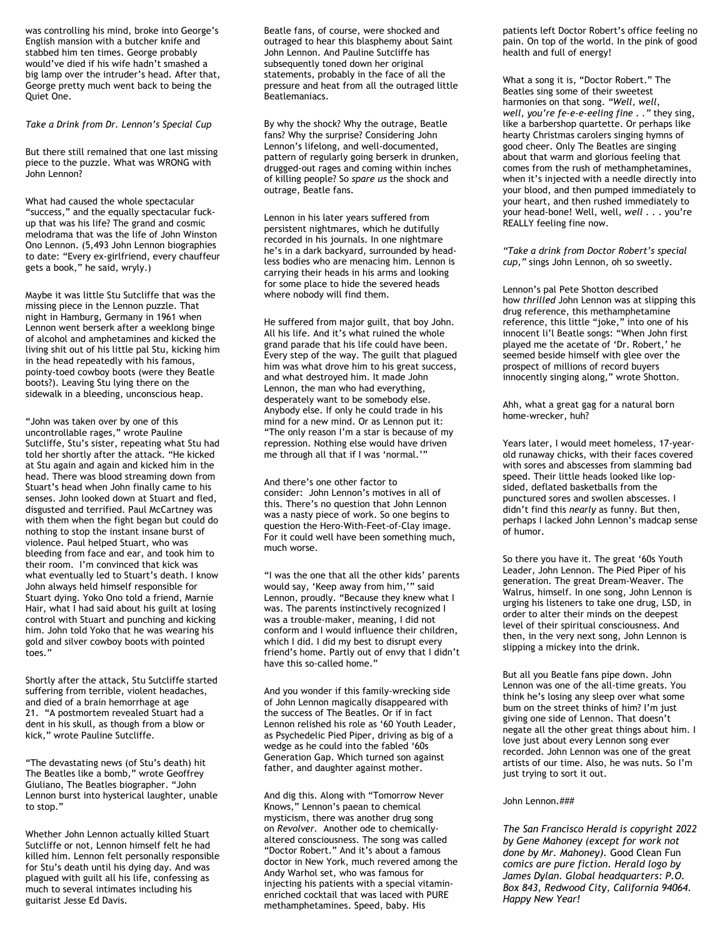was controlling his mind, broke into George's English mansion with a butcher knife and stabbed him ten times. George probably would've died if his wife hadn't smashed a big lamp over the intruder's head. After that, George pretty much went back to being the Quiet One.

*Take a Drink from Dr. Lennon's Special Cup*

But there still remained that one last missing piece to the puzzle. What was WRONG with John Lennon?

What had caused the whole spectacular "success," and the equally spectacular fuckup that was his life? The grand and cosmic melodrama that was the life of John Winston Ono Lennon. (5,493 John Lennon biographies to date: "Every ex-girlfriend, every chauffeur gets a book," he said, wryly.)

Maybe it was little Stu Sutcliffe that was the missing piece in the Lennon puzzle. That night in Hamburg, Germany in 1961 when Lennon went berserk after a weeklong binge of alcohol and amphetamines and kicked the living shit out of his little pal Stu, kicking him in the head repeatedly with his famous, pointy-toed cowboy boots (were they Beatle boots?). Leaving Stu lying there on the sidewalk in a bleeding, unconscious heap.

"John was taken over by one of this uncontrollable rages," wrote Pauline Sutcliffe, Stu's sister, repeating what Stu had told her shortly after the attack. "He kicked at Stu again and again and kicked him in the head. There was blood streaming down from Stuart's head when John finally came to his senses. John looked down at Stuart and fled, disgusted and terrified. Paul McCartney was with them when the fight began but could do nothing to stop the instant insane burst of violence. Paul helped Stuart, who was bleeding from face and ear, and took him to their room. I'm convinced that kick was what eventually led to Stuart's death. I know John always held himself responsible for Stuart dying. Yoko Ono told a friend, Marnie Hair, what I had said about his guilt at losing control with Stuart and punching and kicking him. John told Yoko that he was wearing his gold and silver cowboy boots with pointed toes."

Shortly after the attack, Stu Sutcliffe started suffering from terrible, violent headaches, and died of a brain hemorrhage at age 21. "A postmortem revealed Stuart had a dent in his skull, as though from a blow or kick," wrote Pauline Sutcliffe.

"The devastating news (of Stu's death) hit The Beatles like a bomb," wrote Geoffrey Giuliano, The Beatles biographer. "John Lennon burst into hysterical laughter, unable to stop."

Whether John Lennon actually killed Stuart Sutcliffe or not, Lennon himself felt he had killed him. Lennon felt personally responsible for Stu's death until his dying day. And was plagued with guilt all his life, confessing as much to several intimates including his guitarist Jesse Ed Davis.

Beatle fans, of course, were shocked and outraged to hear this blasphemy about Saint John Lennon. And Pauline Sutcliffe has subsequently toned down her original statements, probably in the face of all the pressure and heat from all the outraged little Beatlemaniacs.

By why the shock? Why the outrage, Beatle fans? Why the surprise? Considering John Lennon's lifelong, and well-documented, pattern of regularly going berserk in drunken, drugged-out rages and coming within inches of killing people? So *spare us* the shock and outrage, Beatle fans.

Lennon in his later years suffered from persistent nightmares, which he dutifully recorded in his journals. In one nightmare he's in a dark backyard, surrounded by headless bodies who are menacing him. Lennon is carrying their heads in his arms and looking for some place to hide the severed heads where nobody will find them.

He suffered from major guilt, that boy John. All his life. And it's what ruined the whole grand parade that his life could have been. Every step of the way. The guilt that plagued him was what drove him to his great success, and what destroyed him. It made John Lennon, the man who had everything, desperately want to be somebody else. Anybody else. If only he could trade in his mind for a new mind. Or as Lennon put it: "The only reason I'm a star is because of my repression. Nothing else would have driven me through all that if I was 'normal.'"

And there's one other factor to consider: John Lennon's motives in all of this. There's no question that John Lennon was a nasty piece of work. So one begins to question the Hero-With-Feet-of-Clay image. For it could well have been something much, much worse.

"I was the one that all the other kids' parents would say, 'Keep away from him,'" said Lennon, proudly. "Because they knew what I was. The parents instinctively recognized I was a trouble-maker, meaning, I did not conform and I would influence their children, which I did. I did my best to disrupt every friend's home. Partly out of envy that I didn't have this so-called home."

And you wonder if this family-wrecking side of John Lennon magically disappeared with the success of The Beatles. Or if in fact Lennon relished his role as '60 Youth Leader, as Psychedelic Pied Piper, driving as big of a wedge as he could into the fabled '60s Generation Gap. Which turned son against father, and daughter against mother.

And dig this. Along with "Tomorrow Never Knows," Lennon's paean to chemical mysticism, there was another drug song on *Revolver.* Another ode to chemicallyaltered consciousness. The song was called "Doctor Robert." And it's about a famous doctor in New York, much revered among the Andy Warhol set, who was famous for injecting his patients with a special vitaminenriched cocktail that was laced with PURE methamphetamines. Speed, baby. His

patients left Doctor Robert's office feeling no pain. On top of the world. In the pink of good health and full of energy!

What a song it is, "Doctor Robert." The Beatles sing some of their sweetest harmonies on that song. *"Well, well, well, you're fe-e-e-eeling fine . ."* they sing, like a barbershop quartette. Or perhaps like hearty Christmas carolers singing hymns of good cheer. Only The Beatles are singing about that warm and glorious feeling that comes from the rush of methamphetamines, when it's injected with a needle directly into your blood, and then pumped immediately to your heart, and then rushed immediately to your head-bone! Well, well, *well* . . . you're REALLY feeling fine now.

*"Take a drink from Doctor Robert's special cup,"* sings John Lennon, oh so sweetly.

Lennon's pal Pete Shotton described how *thrilled* John Lennon was at slipping this drug reference, this methamphetamine reference, this little "joke," into one of his innocent li'l Beatle songs: "When John first played me the acetate of 'Dr. Robert,' he seemed beside himself with glee over the prospect of millions of record buyers innocently singing along," wrote Shotton.

Ahh, what a great gag for a natural born home-wrecker, huh?

Years later, I would meet homeless, 17-yearold runaway chicks, with their faces covered with sores and abscesses from slamming bad speed. Their little heads looked like lopsided, deflated basketballs from the punctured sores and swollen abscesses. I didn't find this *nearly* as funny. But then, perhaps I lacked John Lennon's madcap sense of humor.

So there you have it. The great '60s Youth Leader, John Lennon. The Pied Piper of his generation. The great Dream-Weaver. The Walrus, himself. In one song, John Lennon is urging his listeners to take one drug, LSD, in order to alter their minds on the deepest level of their spiritual consciousness. And then, in the very next song, John Lennon is slipping a mickey into the drink.

But all you Beatle fans pipe down. John Lennon was one of the all-time greats. You think he's losing any sleep over what some bum on the street thinks of him? I'm just giving one side of Lennon. That doesn't negate all the other great things about him. I love just about every Lennon song ever recorded. John Lennon was one of the great artists of our time. Also, he was nuts. So I'm just trying to sort it out.

John Lennon.###

*The San Francisco Herald is copyright 2022 by Gene Mahoney (except for work not done by Mr. Mahoney).* Good Clean Fun *comics are pure fiction. Herald logo by James Dylan. Global headquarters: P.O. Box 843, Redwood City, California 94064. Happy New Year!*